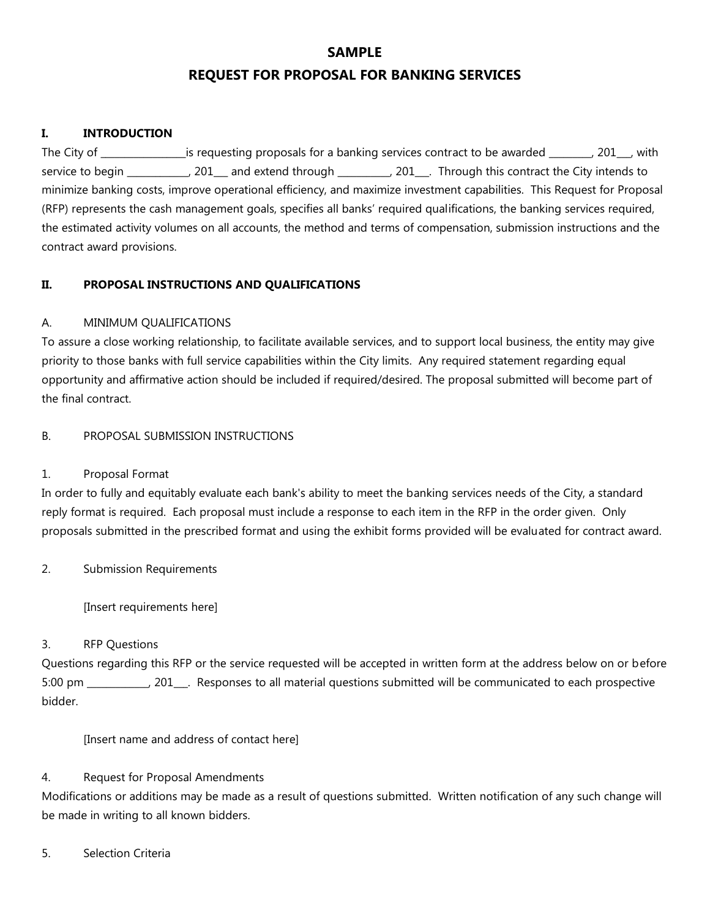# **SAMPLE REQUEST FOR PROPOSAL FOR BANKING SERVICES**

### **I. INTRODUCTION**

The City of \_\_\_\_\_\_\_\_\_\_\_\_\_\_\_\_\_\_is requesting proposals for a banking services contract to be awarded \_\_\_\_\_\_\_, 201\_\_, with service to begin \_\_\_\_\_\_\_\_\_\_, 201\_\_\_ and extend through \_\_\_\_\_\_\_\_\_, 201\_\_\_. Through this contract the City intends to minimize banking costs, improve operational efficiency, and maximize investment capabilities. This Request for Proposal (RFP) represents the cash management goals, specifies all banks' required qualifications, the banking services required, the estimated activity volumes on all accounts, the method and terms of compensation, submission instructions and the contract award provisions.

### **II. PROPOSAL INSTRUCTIONS AND QUALIFICATIONS**

### A. MINIMUM QUALIFICATIONS

To assure a close working relationship, to facilitate available services, and to support local business, the entity may give priority to those banks with full service capabilities within the City limits. Any required statement regarding equal opportunity and affirmative action should be included if required/desired. The proposal submitted will become part of the final contract.

### B. PROPOSAL SUBMISSION INSTRUCTIONS

### 1. Proposal Format

In order to fully and equitably evaluate each bank's ability to meet the banking services needs of the City, a standard reply format is required. Each proposal must include a response to each item in the RFP in the order given. Only proposals submitted in the prescribed format and using the exhibit forms provided will be evaluated for contract award.

2. Submission Requirements

[Insert requirements here]

### 3. RFP Questions

Questions regarding this RFP or the service requested will be accepted in written form at the address below on or before 5:00 pm \_\_\_\_\_\_\_\_\_\_, 201\_\_\_. Responses to all material questions submitted will be communicated to each prospective bidder.

[Insert name and address of contact here]

### 4. Request for Proposal Amendments

Modifications or additions may be made as a result of questions submitted. Written notification of any such change will be made in writing to all known bidders.

### 5. Selection Criteria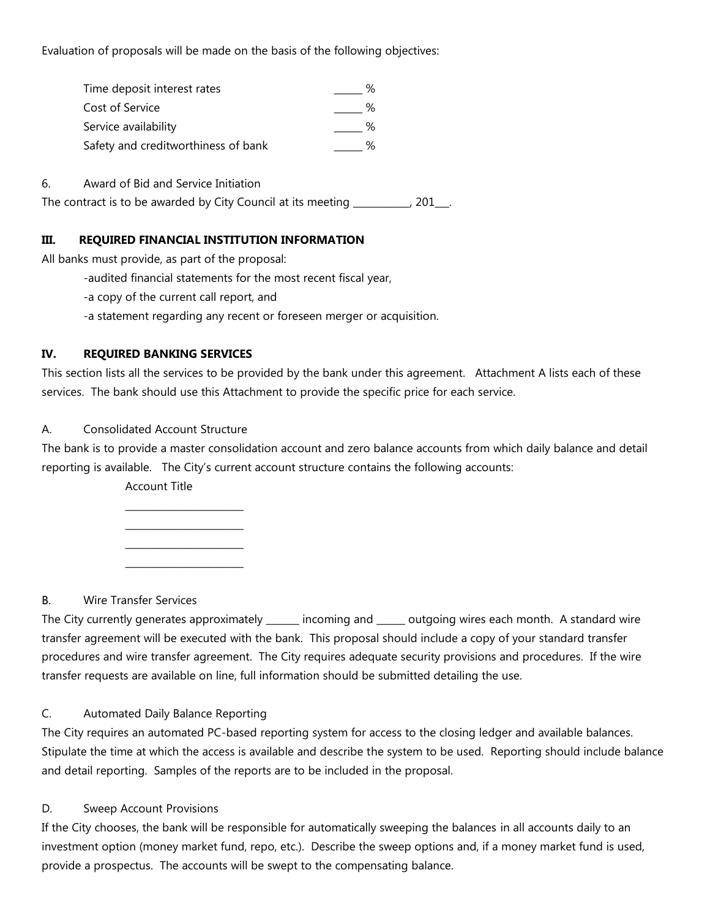Evaluation of proposals will be made on the basis of the following objectives:

| Time deposit interest rates         | ℅ |
|-------------------------------------|---|
| Cost of Service                     | ℅ |
| Service availability                | ℅ |
| Safety and creditworthiness of bank | % |

6. Award of Bid and Service Initiation

The contract is to be awarded by City Council at its meeting \_\_\_\_\_\_\_\_\_, 201\_\_.

#### **III. REQUIRED FINANCIAL INSTITUTION INFORMATION**

All banks must provide, as part of the proposal:

- -audited financial statements for the most recent fiscal year,
- -a copy of the current call report, and
- -a statement regarding any recent or foreseen merger or acquisition.

#### **IV. REQUIRED BANKING SERVICES**

This section lists all the services to be provided by the bank under this agreement. Attachment A lists each of these services. The bank should use this Attachment to provide the specific price for each service.

### A. Consolidated Account Structure

The bank is to provide a master consolidation account and zero balance accounts from which daily balance and detail reporting is available. The City's current account structure contains the following accounts:

Account Title

 $\_$  $\_$  $\_$  $\_$ 

B. Wire Transfer Services

The City currently generates approximately \_\_\_\_\_\_\_ incoming and \_\_\_\_\_\_ outgoing wires each month. A standard wire transfer agreement will be executed with the bank. This proposal should include a copy of your standard transfer procedures and wire transfer agreement. The City requires adequate security provisions and procedures. If the wire transfer requests are available on line, full information should be submitted detailing the use.

### C. Automated Daily Balance Reporting

The City requires an automated PC-based reporting system for access to the closing ledger and available balances. Stipulate the time at which the access is available and describe the system to be used. Reporting should include balance and detail reporting. Samples of the reports are to be included in the proposal.

#### D. Sweep Account Provisions

If the City chooses, the bank will be responsible for automatically sweeping the balances in all accounts daily to an investment option (money market fund, repo, etc.). Describe the sweep options and, if a money market fund is used, provide a prospectus. The accounts will be swept to the compensating balance.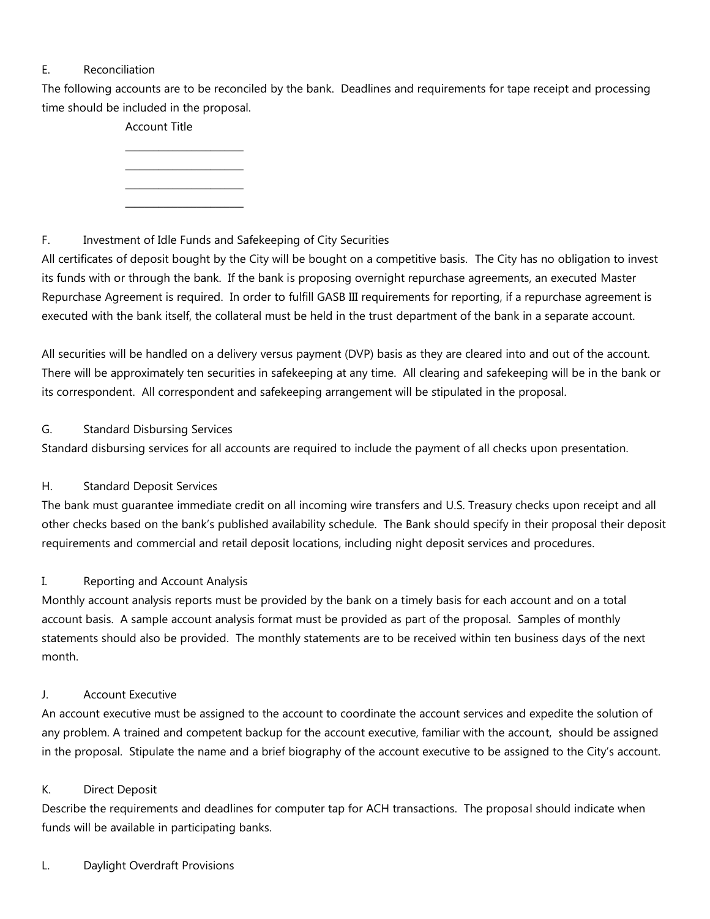# E. Reconciliation

The following accounts are to be reconciled by the bank. Deadlines and requirements for tape receipt and processing time should be included in the proposal.

Account Title

 $\_$  $\_$  $\_$ \_\_\_\_\_\_\_\_\_\_\_\_\_\_\_\_\_\_\_\_\_\_\_\_\_

# F. Investment of Idle Funds and Safekeeping of City Securities

All certificates of deposit bought by the City will be bought on a competitive basis. The City has no obligation to invest its funds with or through the bank. If the bank is proposing overnight repurchase agreements, an executed Master Repurchase Agreement is required. In order to fulfill GASB III requirements for reporting, if a repurchase agreement is executed with the bank itself, the collateral must be held in the trust department of the bank in a separate account.

All securities will be handled on a delivery versus payment (DVP) basis as they are cleared into and out of the account. There will be approximately ten securities in safekeeping at any time. All clearing and safekeeping will be in the bank or its correspondent. All correspondent and safekeeping arrangement will be stipulated in the proposal.

# G. Standard Disbursing Services

Standard disbursing services for all accounts are required to include the payment of all checks upon presentation.

# H. Standard Deposit Services

The bank must guarantee immediate credit on all incoming wire transfers and U.S. Treasury checks upon receipt and all other checks based on the bank's published availability schedule. The Bank should specify in their proposal their deposit requirements and commercial and retail deposit locations, including night deposit services and procedures.

# I. Reporting and Account Analysis

Monthly account analysis reports must be provided by the bank on a timely basis for each account and on a total account basis. A sample account analysis format must be provided as part of the proposal. Samples of monthly statements should also be provided. The monthly statements are to be received within ten business days of the next month.

# J. Account Executive

An account executive must be assigned to the account to coordinate the account services and expedite the solution of any problem. A trained and competent backup for the account executive, familiar with the account, should be assigned in the proposal. Stipulate the name and a brief biography of the account executive to be assigned to the City's account.

# K. Direct Deposit

Describe the requirements and deadlines for computer tap for ACH transactions. The proposal should indicate when funds will be available in participating banks.

# L. Daylight Overdraft Provisions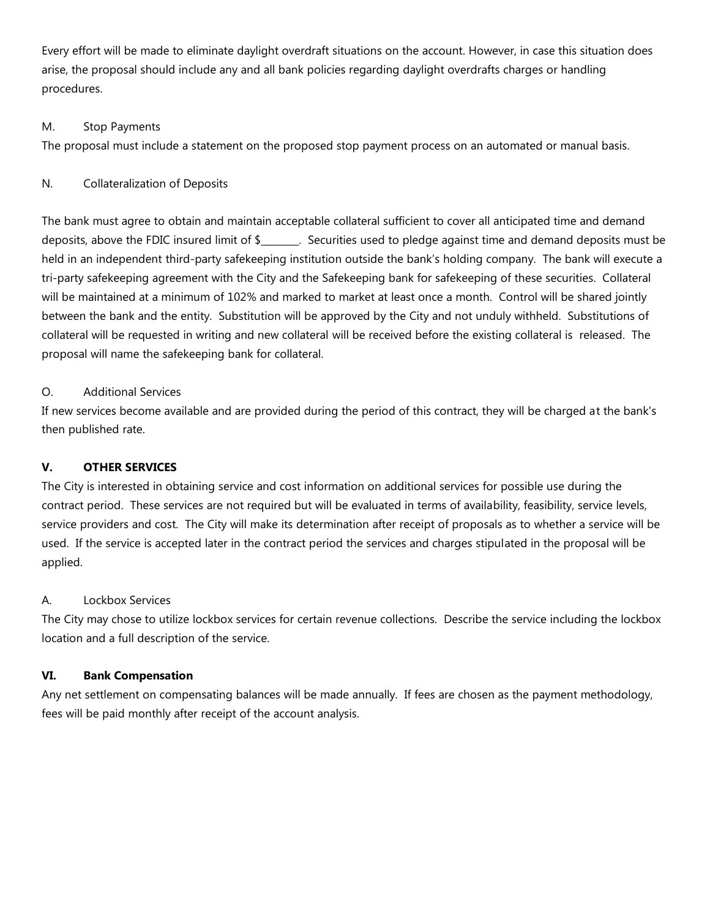Every effort will be made to eliminate daylight overdraft situations on the account. However, in case this situation does arise, the proposal should include any and all bank policies regarding daylight overdrafts charges or handling procedures.

## M. Stop Payments

The proposal must include a statement on the proposed stop payment process on an automated or manual basis.

## N. Collateralization of Deposits

The bank must agree to obtain and maintain acceptable collateral sufficient to cover all anticipated time and demand deposits, above the FDIC insured limit of \$\_\_\_\_\_\_\_\_. Securities used to pledge against time and demand deposits must be held in an independent third-party safekeeping institution outside the bank's holding company. The bank will execute a tri-party safekeeping agreement with the City and the Safekeeping bank for safekeeping of these securities. Collateral will be maintained at a minimum of 102% and marked to market at least once a month. Control will be shared jointly between the bank and the entity. Substitution will be approved by the City and not unduly withheld. Substitutions of collateral will be requested in writing and new collateral will be received before the existing collateral is released. The proposal will name the safekeeping bank for collateral.

# O. Additional Services

If new services become available and are provided during the period of this contract, they will be charged at the bank's then published rate.

# **V. OTHER SERVICES**

The City is interested in obtaining service and cost information on additional services for possible use during the contract period. These services are not required but will be evaluated in terms of availability, feasibility, service levels, service providers and cost. The City will make its determination after receipt of proposals as to whether a service will be used. If the service is accepted later in the contract period the services and charges stipulated in the proposal will be applied.

### A. Lockbox Services

The City may chose to utilize lockbox services for certain revenue collections. Describe the service including the lockbox location and a full description of the service.

### **VI. Bank Compensation**

Any net settlement on compensating balances will be made annually. If fees are chosen as the payment methodology, fees will be paid monthly after receipt of the account analysis.